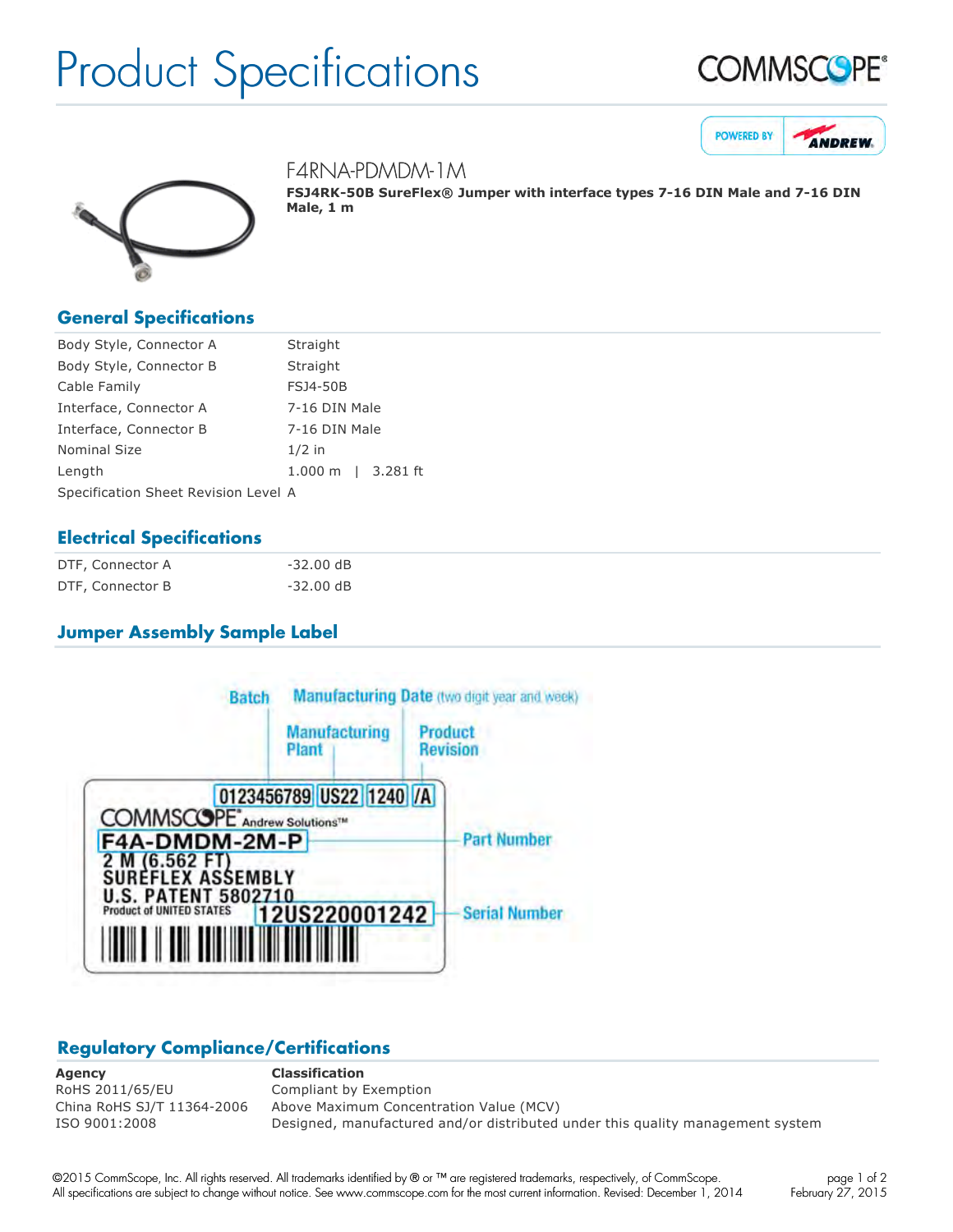# Product Specifications







#### F4RNA-PDMDM-1M

**FSJ4RK50B SureFlex® Jumper with interface types 716 DIN Male and 716 DIN Male, 1 m**

#### **General Specifications**

| Body Style, Connector A              | Straight           |  |  |
|--------------------------------------|--------------------|--|--|
| Body Style, Connector B              | Straight           |  |  |
| Cable Family                         | <b>FSJ4-50B</b>    |  |  |
| Interface, Connector A               | 7-16 DIN Male      |  |  |
| Interface, Connector B               | 7-16 DIN Male      |  |  |
| <b>Nominal Size</b>                  | $1/2$ in           |  |  |
| Length                               | 1.000 m   3.281 ft |  |  |
| Specification Sheet Revision Level A |                    |  |  |

#### **Electrical Specifications**

| DTF, Connector A | $-32.00$ dB |
|------------------|-------------|
| DTF, Connector B | $-32.00$ dB |

#### **Jumper Assembly Sample Label**



## **Regulatory Compliance/Certifications**

**Agency Classification** RoHS 2011/65/EU Compliant by Exemption

China RoHS SJ/T 11364-2006 Above Maximum Concentration Value (MCV) ISO 9001:2008 Designed, manufactured and/or distributed under this quality management system